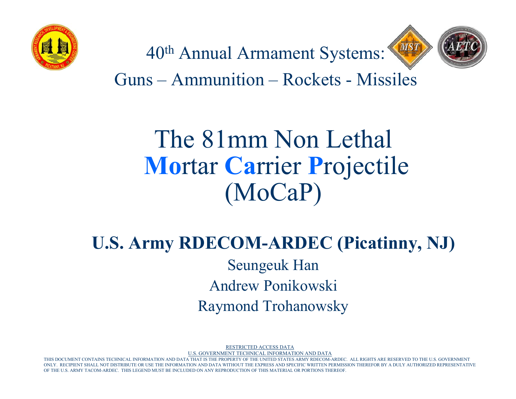



40th Annual Armament Systems:

Guns – Ammunition – Rockets - Missiles

#### The 81mm Non Lethal **Mo**rtar **Ca**rrier **P**rojectile (MoCaP)

#### **U.S. Army RDECOM-ARDEC (Picatinny, NJ)** Seungeuk Han Andrew Ponikowski Raymond Trohanowsky

RESTRICTED ACCESS DATA

U.S. GOVERNMENT TECHNICAL INFORMATION AND DATA

MENT CONTAINS TECHNICAL INFORMATION AND DATA THAT IS THE PROPERTY OF THE UNITED STATES ARMY RDECOM-ARDEC. ALL RIGHTS ARE RESERVED TO THE U.S. GOVERNMENT RECIPIENT SHALL NOT DISTRIBUTE OR USE THE INFORMATION AND DATA WITHOUT THE EXPRESS AND SPECIFIC WRITTEN PERMISSION THEREFOR BY A DULY AUTHORIZED REPRESENTATIVE OF THE U.S. ARMY TACOM-ARDEC. THIS LEGEND MUST BE INCLUDED ON ANY REPRODUCTION OF THIS MATERIAL OR PORTIONS THEREOF.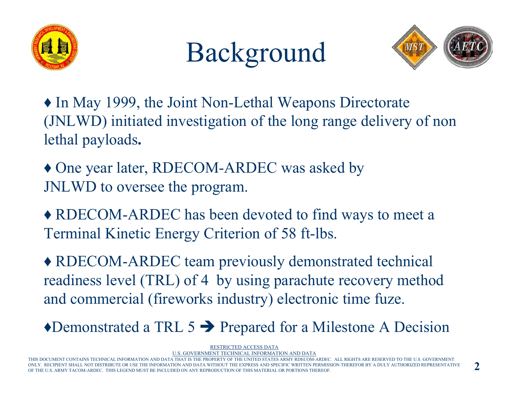





♦ In May 1999, the Joint Non-Lethal Weapons Directorate (JNLWD) initiated investigation of the long range delivery of non lethal payloads**.**

♦ One year later, RDECOM-ARDEC was asked by JNLWD to oversee the program.

♦ RDECOM-ARDEC has been devoted to find ways to meet a Terminal Kinetic Energy Criterion of 58 ft-lbs.

♦ RDECOM-ARDEC team previously demonstrated technical readiness level (TRL) of 4 by using parachute recovery method and commercial (fireworks industry) electronic time fuze.

 $\triangle$ Demonstrated a TRL 5  $\rightarrow$  Prepared for a Milestone A Decision

RESTRICTED ACCESS DATA

U.S. GOVERNMENT TECHNICAL INFORMATION AND DATA

THIS DOCUMENT CONTAINS TECHNICAL INFORMATION AND DATA THAT IS THE PROPERTY OF THE UNITED STATES ARMY RDECOM-ARDEC. ALL RIGHTS ARE RESERVED TO THE U.S. GOVERNMENT UENT SHALL NOT DISTRIBUTE OR USE THE INFORMATION AND DATA WITHOUT THE EXPRESS AND SPECIFIC WRITTEN PERMISSION THEREFOR BY A DULY AUTHORIZED REPRESENTATIVE OF THE U.S. ARMY TACOM-ARDEC. THIS LEGEND MUST BE INCLUDED ON ANY REPRODUCTION OF THIS MATERIAL OR PORTIONS THEREOF.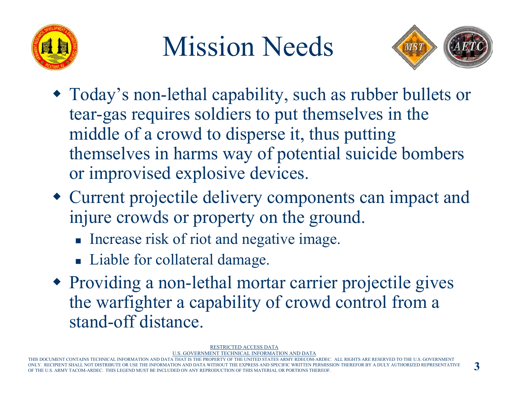

## Mission Needs



- Today's non-lethal capability, such as rubber bullets or tear-gas requires soldiers to put themselves in the middle of a crowd to disperse it, thus putting themselves in harms way of potential suicide bombers or improvised explosive devices.
- Current projectile delivery components can impact and injure crowds or property on the ground.
	- **Increase risk of riot and negative image.**
	- **Liable for collateral damage.**
- Providing a non-lethal mortar carrier projectile gives the warfighter a capability of crowd control from a stand-off distance.

RESTRICTED ACCESS DATA

TECHNICAL INFORMATION AND DATA

THIS DOCUMENT CONTAINS TECHNICAL INFORMATION AND DATA THAT IS THE PROPERTY OF THE UNITED STATES ARMY RDECOM-ARDEC. ALL RIGHTS ARE RESERVED TO THE U.S. GOVERNMENT NOT DISTRIBUTE OR USE THE INFORMATION AND DATA U.S. ARMY TACOM-ARDEC. THIS LEGEND MUST BE INCLUDED ON ANY REPRODUCTION OF THIS MATERIAL OR PORTIONS THEREOF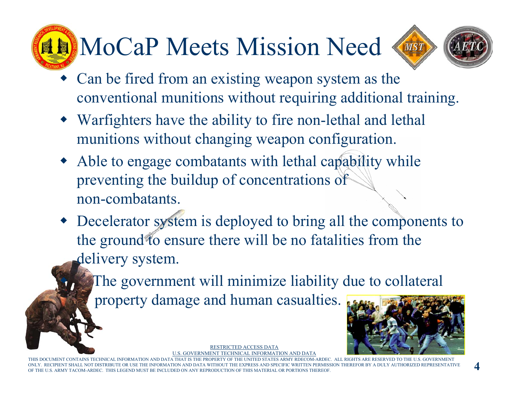# **HEMOCAP Meets Mission Need**



- Can be fired from an existing weapon system as the conventional munitions without requiring additional training.
- Warfighters have the ability to fire non-lethal and lethal munitions without changing weapon configuration.
- Able to engage combatants with lethal capability while preventing the buildup of concentrations of non-combatants.
- Decelerator system is deployed to bring all the components to the ground to ensure there will be no fatalities from the delivery system.

The government will minimize liability due to collateral

property damage and human casualties.

 $\bullet$ 



RESTRICTED ACCESS DATAU.S. GOVERNMENT TECHNICAL INFORMATION AND DATA

THIS DOCUMENT CONTAINS TECHNICAL INFORMATION AND DATA THAT IS THE PROPERTY OF THE UNITED STATES ARMY RDECOM-ARDEC. ALL RIGHTS ARE RESERVED TO THE U.S. GOVERNMENT ONLY. RECIPIENT SHALL NOT DISTRIBUTE OR USE THE INFORMATION AND DATA WITHOUT THE EXPRESS AND SPECIFIC WRITTEN PERMISSION THEREFOR BY A DULY AUTHORIZED REPRESENTATIVE U.S. ARMY TACOM-ARDEC. THIS LEGEND MUST BE INCLUDED ON ANY REPRODUCTION OF THIS MATERIAL OR PORTIONS THEREOF.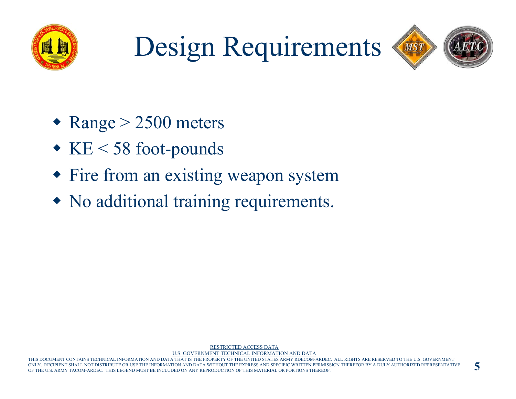

# Design Requirements



- $\triangleleft$  Range  $>$  2500 meters
- KE < 58 foot-pounds
- Fire from an existing weapon system
- No additional training requirements.

MATION AND DATA THAT IS THE PROPERTY OF THE UNITED STATES ARMY RDECOM-ARDEC. ALL RIGHTS ARE RESERVED TO THE U.S. GOVERNMENT RECIPIENT SHALL NOT DISTRIBUTE OR USE THE INFORMATION AND DATA WITHOUT THE EXPRESS AND SPECIFIC WRITTEN PERMISSION THEREFOR BY A DULY AUTHORIZED REPRESENTATIVE OF THE U.S. ARMY TACOM-ARDEC. THIS LEGEND MUST BE INCLUDED ON ANY REPRODUCTION OF THIS MATERIAL OR PORTIONS THEREOF.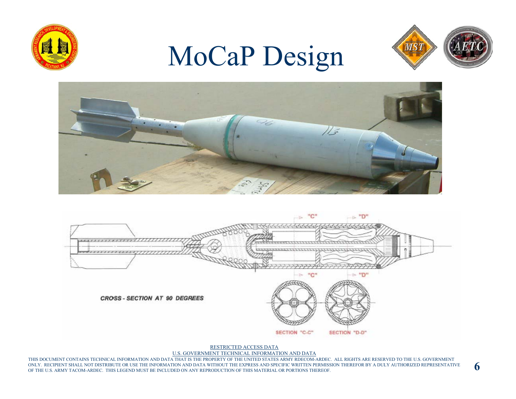#### MoCaP Design







RESTRICTED ACCESS DATA

U.S. GOVERNMENT TECHNICAL INFORMATION AND DATA

THIS DOCUMENT CONTAINS TECHNICAL INFORMATION AND DATA THAT IS THE PROPERTY OF THE UNITED STATES ARMY RDECOM-ARDEC. ALL RIGHTS ARE RESERVED TO THE U.S. GOVERNMENT ONLY. RECIPIENT SHALL NOT DISTRIBUTE OR USE THE INFORMATION AND DATA WITHOUT THE EXPRESS AND SPECIFIC WRITTEN PERMISSION THEREFOR BY A DULY AUTHORIZED REPRESENTATIVE OF THE U.S. ARMY TACOM-ARDEC. THIS LEGEND MUST BE INCLUDED ON ANY REPRODUCTION OF THIS MATERIAL OR PORTIONS THEREOF.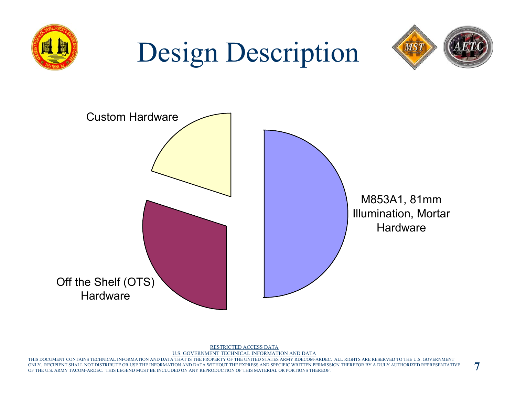

RESTRICTED ACCESS DATAU.S. GOVERNMENT TECHNICAL INFORMATION AND DATA

THIS DOCUMENT CONTAINS TECHNICAL INFORMATION AND DATA THAT IS THE PROPERTY OF THE UNITED STATES ARMY RDECOM-ARDEC. ALL RIGHTS ARE RESERVED TO THE U.S. GOVERNMENT ONLY. RECIPIENT SHALL NOT DISTRIBUTE OR USE THE INFORMATION AND DATA WITHOUT THE EXPRESS AND SPECIFIC WRITTEN PERMISSION THEREFOR BY A DULY AUTHORIZED REPRESENTATIVE OF THE U.S. ARMY TACOM-ARDEC. THIS LEGEND MUST BE INCLUDED ON ANY REPRODUCTION OF THIS MATERIAL OR PORTIONS THEREOF.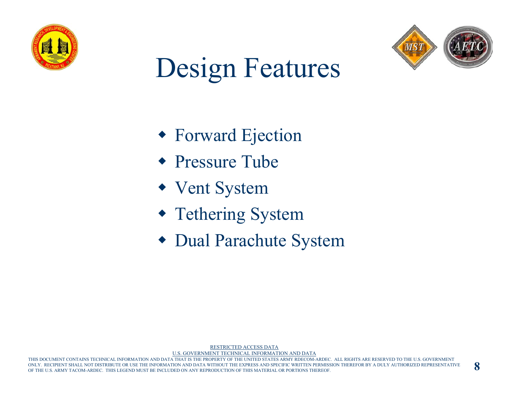



## Design Features

- Forward Ejection
- Pressure Tube
- Vent System
- Tethering System
- Dual Parachute System

IMENT CONTAINS TECHNICAL INFORMATION AND DATA THAT IS THE PROPERTY OF THE UNITED STATES ARMY RDECOM-ARDEC. ALL RIGHTS ARE RESERVED TO THE U.S. GOVERNMENT ONLY. RECIPIENT SHALL NOT DISTRIBUTE OR USE THE INFORMATION AND DATA WITHOUT THE EXPRESS AND SPECIFIC WRITTEN PERMISSION THEREFOR BY A DULY AUTHORIZED REPRESENTATIVE OF THE U.S. ARMY TACOM-ARDEC. THIS LEGEND MUST BE INCLUDED ON ANY REPRODUCTION OF THIS MATERIAL OR PORTIONS THEREOF.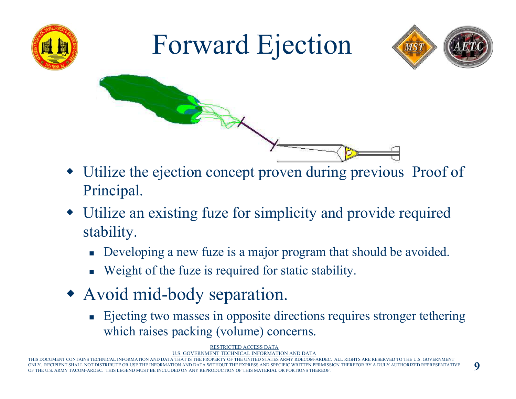

## Forward Ejection





- Utilize the ejection concept proven during previous Proof of Principal.
- Utilize an existing fuze for simplicity and provide required stability.
	- **Developing a new fuze is a major program that should be avoided.**
	- **Weight of the fuze is required for static stability.**
- Avoid mid-body separation.
	- **Exerchleriful Exerchler** Ejecting two masses in opposite directions requires stronger tethering which raises packing (volume) concerns.

RESTRICTED ACCESS DATA

U.S. GOVERNMENT TECHNICAL INFORMATION AND DATA

THIS DOCUMENT CONTAINS TECHNICAL INFORMATION AND DATA THAT IS THE PROPERTY OF THE UNITED STATES ARMY RDECOM-ARDEC. ALL RIGHTS ARE RESERVED TO THE U.S. GOVERNMENT UENT SHALL NOT DISTRIBUTE OR USE THE INFORMATION AND DATA WITHOUT THE EXPRESS AND SPECIFIC WRITTEN PERMISSION THEREFOR BY A DULY AUTHORIZED REPRESENTATIVE OF THE U.S. ARMY TACOM-ARDEC. THIS LEGEND MUST BE INCLUDED ON ANY REPRODUCTION OF THIS MATERIAL OR PORTIONS THEREOF.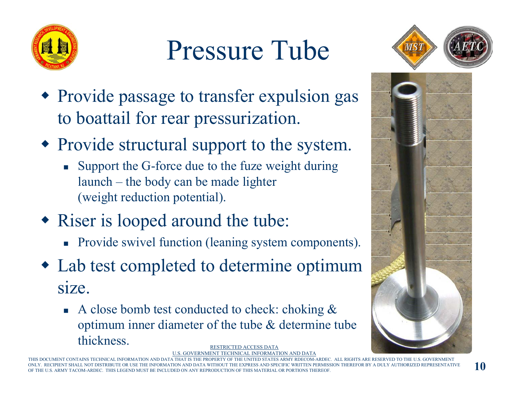

# Pressure Tube



- Provide passage to transfer expulsion gas to boattail for rear pressurization.
- Provide structural support to the system.
	- **Support the G-force due to the fuze weight during** launch – the body can be made lighter (weight reduction potential).
- Riser is looped around the tube:
	- **Provide swivel function (leaning system components).**
- Lab test completed to determine optimum size.
	- RESTRICTED ACCESS DATAA close bomb test conducted to check: choking  $\&$ optimum inner diameter of the tube & determine tube thickness.

U.S. GOVERNMENT TECHNICAL INFORMATION AND DATA

THIS DOCUMENT CONTAINS TECHNICAL INFORMATION AND DATA THAT IS THE PROPERTY OF THE UNITED STATES ARMY RDECOM-ARDEC. ALL RIGHTS ARE RESERVED TO THE U.S. GOVERNMENT ONLY. RECIPIENT SHALL NOT DISTRIBUTE OR USE THE INFORMATION AND DATA WITHOUT THE EXPRESS AND SPECIFIC WRITTEN PERMISSION THEREFOR BY A DULY AUTHORIZED REPRESENTATIVE U.S. ARMY TACOM-ARDEC. THIS LEGEND MUST BE INCLUDED ON ANY REPRODUCTION OF THIS MATERIAL OR PORTIONS THEREOF.



**10**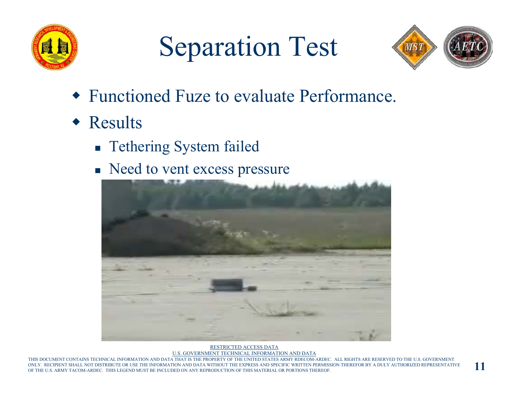

## Separation Test



- Functioned Fuze to evaluate Performance.
- Results
	- **Tethering System failed**
	- Need to vent excess pressure



RESTRICTED ACCESS DATAU.S. GOVERNMENT TECHNICAL INFORMATION AND DATA

AND DATA THAT IS THE PROPERTY OF THE UNITED STATES ARMY RDECOM-ARDEC. ALL RIGHTS ARE RESERVED TO THE U.S. GOVERNMENT RECIPIENT SHALL NOT DISTRIBUTE OR USE THE INFORMATION AND DATA WITHOUT THE EXPRESS AND SPECIFIC WRITTEN PERMISSION THEREFOR BY A DULY AUTHORIZED REPRESENTATIVE OF THE U.S. ARMY TACOM-ARDEC. THIS LEGEND MUST BE INCLUDED ON ANY REPRODUCTION OF THIS MATERIAL OR PORTIONS THEREOF.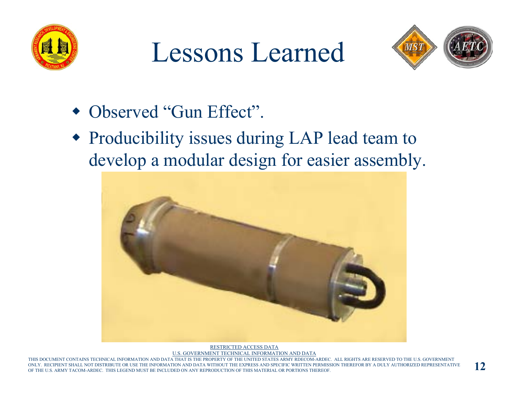

#### Lessons Learned



- Observed "Gun Effect".
- Producibility issues during LAP lead team to develop a modular design for easier assembly.



RESTRICTED ACCESS DATAU.S. GOVERNMENT TECHNICAL INFORMATION AND DATA

IENT CONTAINS TECHNICAL INFORMATION AND DATA THAT IS THE PROPERTY OF THE UNITED STATES ARMY RDECOM-ARDEC. ALL RIGHTS ARE RESERVED TO THE U.S. GOVERNMENT RECIPIENT SHALL NOT DISTRIBUTE OR USE THE INFORMATION AND DATA WITHOUT THE EXPRESS AND SPECIFIC WRITTEN PERMISSION THEREFOR BY A DULY AUTHORIZED REPRESENTATIVE OF THE U.S. ARMY TACOM-ARDEC. THIS LEGEND MUST BE INCLUDED ON ANY REPRODUCTION OF THIS MATERIAL OR PORTIONS THEREOF.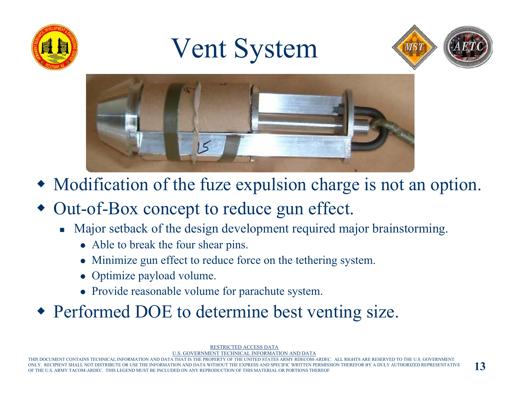

## Vent System





- Modification of the fuze expulsion charge is not an option.
- Out-of-Box concept to reduce gun effect.
	- F. Major setback of the design development required major brainstorming.
		- Able to break the four shear pins.
		- Minimize gun effect to reduce force on the tethering system.
		- Optimize payload volume.
		- Provide reasonable volume for parachute system.

Performed DOE to determine best venting size.

RESTRICTED ACCESS DATA

U.S. GOVERNMENT TECHNICAL INFORMATION AND DATA

THIS DOCUMENT CONTAINS TECHNICAL INFORMATION AND DATA THAT IS THE PROPERTY OF THE UNITED STATES ARMY RDECOM-ARDEC. ALL RIGHTS ARE RESERVED TO THE U.S. GOVERNMENT IENT SHALL NOT DISTRIBUTE OR USE THE INFORMATION AND DATA WITHOUT THE EXPRESS AND SPECIFIC WRITTEN PERMISSION THEREFOR BY A DULY AUTHORIZED REPRESENTATIVE OF THE U.S. ARMY TACOM-ARDEC. THIS LEGEND MUST BE INCLUDED ON ANY REPRODUCTION OF THIS MATERIAL OR PORTIONS THEREOF.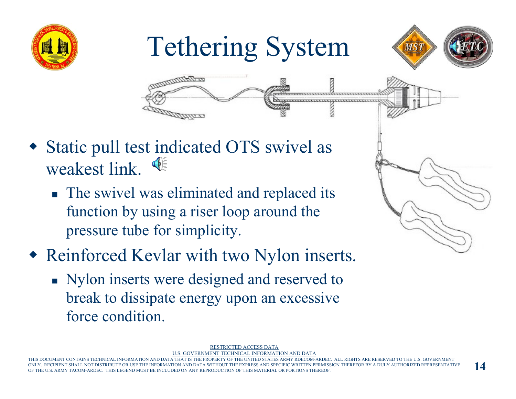

# Tethering System





- Static pull test indicated OTS swivel as weakest link.  $\oint$ 
	- The swivel was eliminated and replaced its function by using a riser loop around the pressure tube for simplicity.
- Reinforced Kevlar with two Nylon inserts.
	- Nylon inserts were designed and reserved to break to dissipate energy upon an excessive force condition.



RESTRICTED ACCESS DATA

U.S. GOVERNMENT TECHNICAL INFORMATION AND DATA

THIS DOCUMENT CONTAINS TECHNICAL INFORMATION AND DATA THAT IS THE PROPERTY OF THE UNITED STATES ARMY RDECOM-ARDEC. ALL RIGHTS ARE RESERVED TO THE U.S. GOVERNMENT ENT SHALL NOT DISTRIBUTE OR USE THE INFORMATION AND DATA WITHOUT THE EXPRESS AND SPECIFIC WRITTEN PERMISSION THEREFOR BY A DULY AUTHORIZED REPRESENTATIVE OF THE U.S. ARMY TACOM-ARDEC. THIS LEGEND MUST BE INCLUDED ON ANY REPRODUCTION OF THIS MATERIAL OR PORTIONS THEREOF.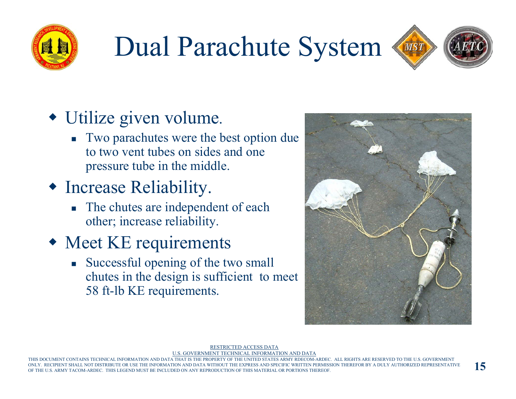

### Dual Parachute System



#### Utilize given volume.

 Two parachutes were the best option due to two vent tubes on sides and one pressure tube in the middle.

#### Increase Reliability.

The chutes are independent of each other; increase reliability.

#### Meet KE requirements

F. Successful opening of the two small chutes in the design is sufficient to meet 58 ft-lb KE requirements.



#### RESTRICTED ACCESS DATA

U.S. GOVERNMENT TECHNICAL INFORMATION AND DATA

THIS DOCUMENT CONTAINS TECHNICAL INFORMATION AND DATA THAT IS THE PROPERTY OF THE UNITED STATES ARMY RDECOM-ARDEC. ALL RIGHTS ARE RESERVED TO THE U.S. GOVERNMENT PIENT SHALL NOT DISTRIBUTE OR USE THE INFORMATION AND DATA WITHOUT THE EXPRESS AND SPECIFIC WRITTEN PERMISSION THEREFOR BY A DULY AUTHORIZED REPRESENTATIVE OF THE U.S. ARMY TACOM-ARDEC. THIS LEGEND MUST BE INCLUDED ON ANY REPRODUCTION OF THIS MATERIAL OR PORTIONS THEREOF.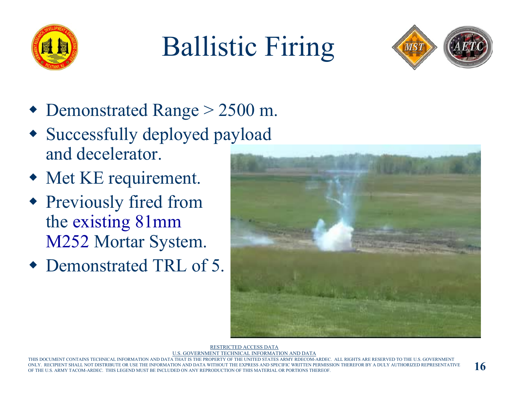

# Ballistic Firing



- Demonstrated Range > 2500 m.
- Successfully deployed payload and decelerator.
- Met KE requirement.
- Previously fired from the existing 81mm M252 Mortar System.
- Demonstrated TRL of 5.



RESTRICTED ACCESS DATA

U.S. GOVERNMENT TECHNICAL INFORMATION AND DATA

THIS DOCUMENT CONTAINS TECHNICAL INFORMATION AND DATA THAT IS THE PROPERTY OF THE UNITED STATES ARMY RDECOM-ARDEC. ALL RIGHTS ARE RESERVED TO THE U.S. GOVERNMENT IC WRITTEN PERMISSION THEREFOR BY A DULY AUTHORIZED REPRESENTATIVE OF THE U.S. ARMY TACOM-ARDEC. THIS LEGEND MUST BE INCLUDED ON ANY REPRODUCTION OF THIS MATERIAL OR PORTIONS THEREOF.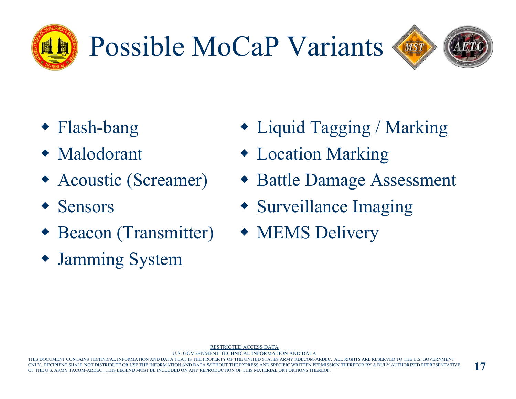

# Possible MoCaP Variants



- Flash-bang
- Malodorant
- Acoustic (Screamer)
- Sensors
- Beacon (Transmitter)
- Jamming System
- Liquid Tagging / Marking
- Location Marking
- Battle Damage Assessment
- Surveillance Imaging
- MEMS Delivery